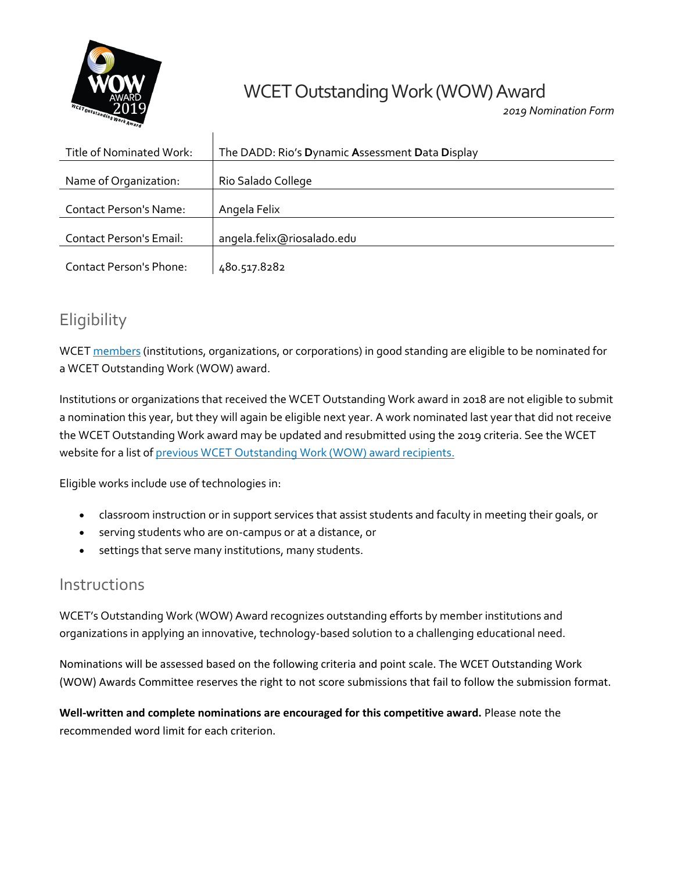

# WCET Outstanding Work (WOW) Award

*2019 Nomination Form*

| Title of Nominated Work:       | The DADD: Rio's Dynamic Assessment Data Display |
|--------------------------------|-------------------------------------------------|
| Name of Organization:          | Rio Salado College                              |
| Contact Person's Name:         | Angela Felix                                    |
| <b>Contact Person's Email:</b> | angela.felix@riosalado.edu                      |
| <b>Contact Person's Phone:</b> | 480.517.8282                                    |

# **Eligibility**

WCE[T members](http://wcet.wiche.edu/current-members) (institutions, organizations, or corporations) in good standing are eligible to be nominated for a WCET Outstanding Work (WOW) award.

Institutions or organizations that received the WCET Outstanding Work award in 2018 are not eligible to submit a nomination this year, but they will again be eligible next year. A work nominated last year that did not receive the WCET Outstanding Work award may be updated and resubmitted using the 2019 criteria. See the WCET website for a list o[f previous WCET Outstanding Work \(WOW\)](http://wcet.wiche.edu/initiatives/wcet-awards/wow/previous-recipients) award recipients.

Eligible works include use of technologies in:

- classroom instruction or in support services that assist students and faculty in meeting their goals, or
- serving students who are on-campus or at a distance, or
- settings that serve many institutions, many students.

 $\overline{1}$ 

#### Instructions

WCET's Outstanding Work (WOW) Award recognizes outstanding efforts by member institutions and organizations in applying an innovative, technology-based solution to a challenging educational need.

Nominations will be assessed based on the following criteria and point scale. The WCET Outstanding Work (WOW) Awards Committee reserves the right to not score submissions that fail to follow the submission format.

**Well-written and complete nominations are encouraged for this competitive award.** Please note the recommended word limit for each criterion.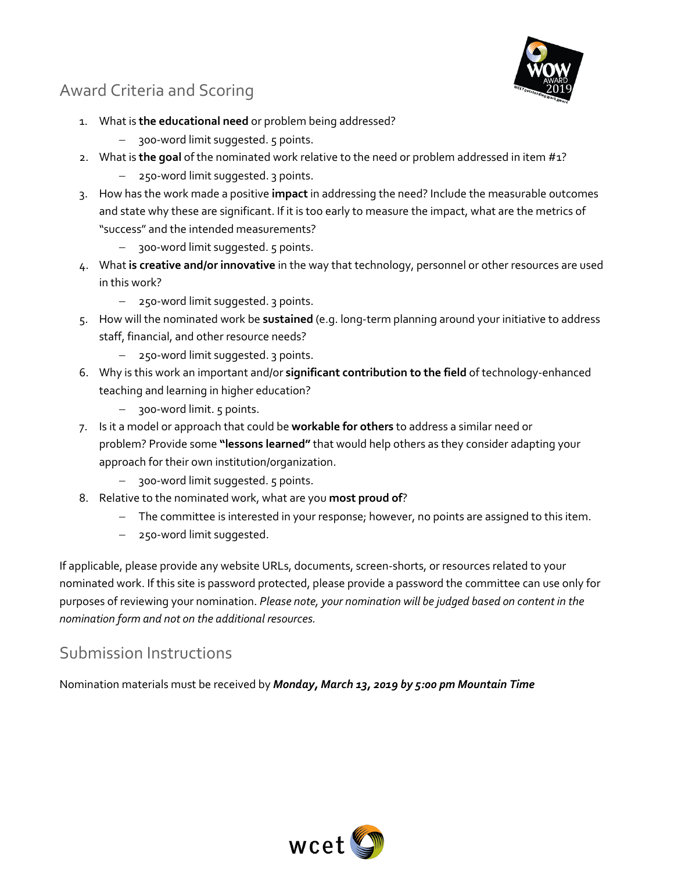# Award Criteria and Scoring



- 1. What is **the educational need** or problem being addressed?
	- $-$  300-word limit suggested. 5 points.
- 2. What is **the goal** of the nominated work relative to the need or problem addressed in item #1?
	- 250-word limit suggested. 3 points.
- 3. How has the work made a positive **impact** in addressing the need? Include the measurable outcomes and state why these are significant. If it is too early to measure the impact, what are the metrics of "success" and the intended measurements?
	- 300-word limit suggested. 5 points.
- 4. What **is creative and/or innovative** in the way that technology, personnel or other resources are used in this work?
	- 250-word limit suggested. 3 points.
- 5. How will the nominated work be **sustained** (e.g. long-term planning around your initiative to address staff, financial, and other resource needs?
	- 250-word limit suggested. 3 points.
- 6. Why is this work an important and/or **significant contribution to the field** of technology-enhanced teaching and learning in higher education?
	- 300-word limit. 5 points.
- 7. Is it a model or approach that could be **workable for others** to address a similar need or problem? Provide some **"lessons learned"** that would help others as they consider adapting your approach for their own institution/organization.
	- $-$  300-word limit suggested. 5 points.
- 8. Relative to the nominated work, what are you **most proud of**?
	- The committee is interested in your response; however, no points are assigned to this item.
	- 250-word limit suggested.

If applicable, please provide any website URLs, documents, screen-shorts, or resources related to your nominated work. If this site is password protected, please provide a password the committee can use only for purposes of reviewing your nomination. *Please note, your nomination will be judged based on content in the nomination form and not on the additional resources.*

## Submission Instructions

Nomination materials must be received by *Monday, March 13, 2019 by 5:00 pm Mountain Time*

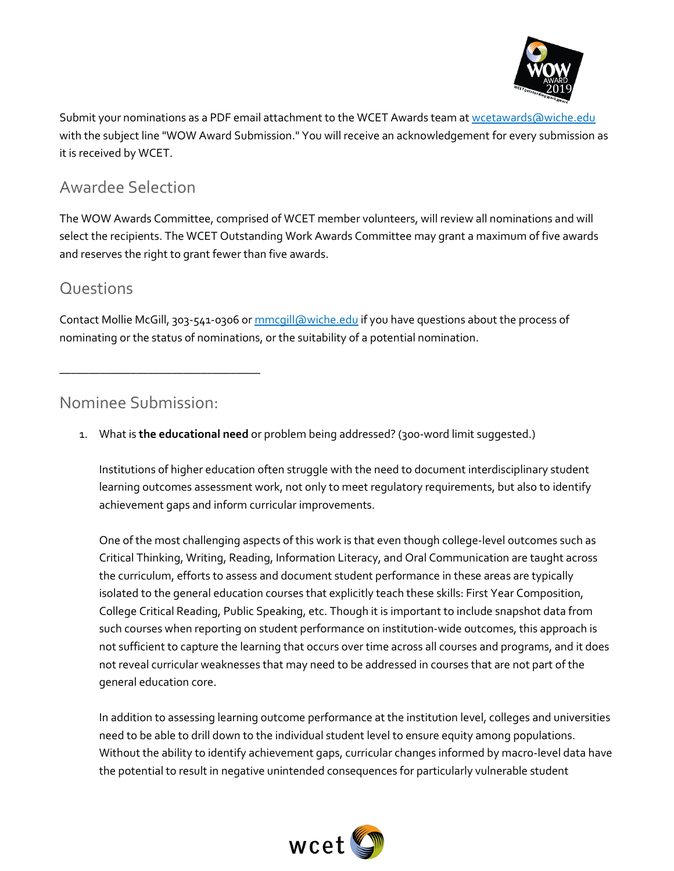

Submit your nominations as a PDF email attachment to the WCET Awards team a[t wcetawards@wiche.edu](mailto:wcetawards@wiche.edu?subject=WOW%20Award%20Submission) with the subject line "WOW Award Submission." You will receive an acknowledgement for every submission as it is received by WCET.

### Awardee Selection

The WOW Awards Committee, comprised of WCET member volunteers, will review all nominations and will select the recipients. The WCET Outstanding Work Awards Committee may grant a maximum of five awards and reserves the right to grant fewer than five awards.

#### **Questions**

Contact Mollie McGill, 303-541-0306 o[r mmcgill@wiche.edu](mailto:mmcgill@wiche.edu) if you have questions about the process of nominating or the status of nominations, or the suitability of a potential nomination.

Nominee Submission:

\_\_\_\_\_\_\_\_\_\_\_\_\_\_\_\_\_\_\_\_\_\_\_\_\_\_\_\_\_\_\_\_\_\_

1. What is **the educational need** or problem being addressed? (300-word limit suggested.)

Institutions of higher education often struggle with the need to document interdisciplinary student learning outcomes assessment work, not only to meet regulatory requirements, but also to identify achievement gaps and inform curricular improvements.

One of the most challenging aspects of this work is that even though college-level outcomes such as Critical Thinking, Writing, Reading, Information Literacy, and Oral Communication are taught across the curriculum, efforts to assess and document student performance in these areas are typically isolated to the general education courses that explicitly teach these skills: First Year Composition, College Critical Reading, Public Speaking, etc. Though it is important to include snapshot data from such courses when reporting on student performance on institution-wide outcomes, this approach is not sufficient to capture the learning that occurs over time across all courses and programs, and it does not reveal curricular weaknesses that may need to be addressed in courses that are not part of the general education core.

In addition to assessing learning outcome performance at the institution level, colleges and universities need to be able to drill down to the individual student level to ensure equity among populations. Without the ability to identify achievement gaps, curricular changes informed by macro-level data have the potential to result in negative unintended consequences for particularly vulnerable student

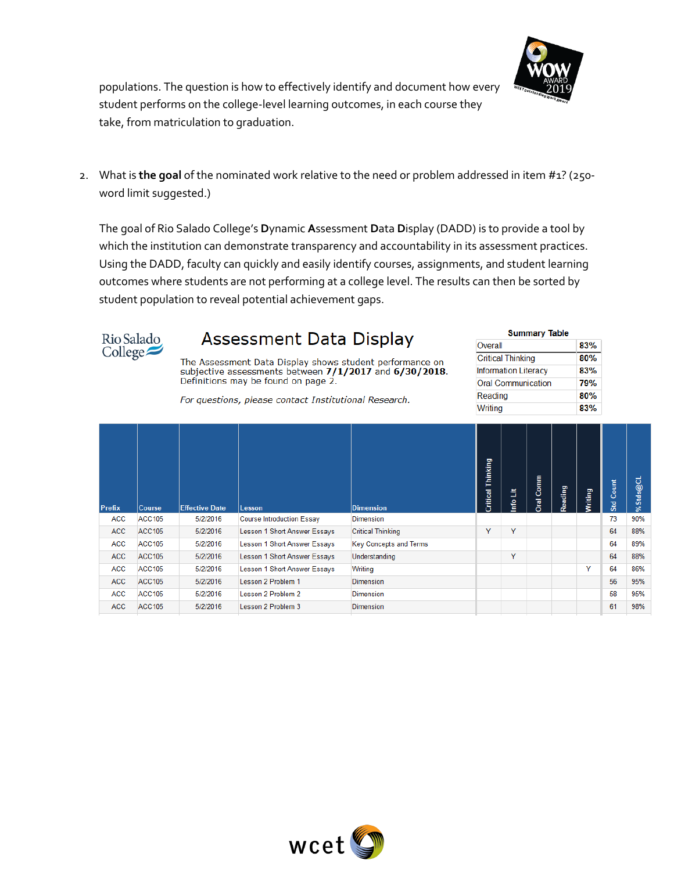

populations. The question is how to effectively identify and document how every student performs on the college-level learning outcomes, in each course they take, from matriculation to graduation.

2. What is **the goal** of the nominated work relative to the need or problem addressed in item #1? (250 word limit suggested.)

The goal of Rio Salado College's **D**ynamic **A**ssessment **D**ata **D**isplay (DADD) is to provide a tool by which the institution can demonstrate transparency and accountability in its assessment practices. Using the DADD, faculty can quickly and easily identify courses, assignments, and student learning outcomes where students are not performing at a college level. The results can then be sorted by student population to reveal potential achievement gaps.



### **Assessment Data Display**

The Assessment Data Display shows student performance on<br>subjective assessments between  $7/1/2017$  and  $6/30/2018$ . Definitions may be found on page 2.

| <b>Summary Table</b>        |     |  |  |  |  |  |
|-----------------------------|-----|--|--|--|--|--|
| Overall                     | 83% |  |  |  |  |  |
| <b>Critical Thinking</b>    | 80% |  |  |  |  |  |
| <b>Information Literacy</b> | 83% |  |  |  |  |  |
| <b>Oral Communication</b>   | 79% |  |  |  |  |  |
| Reading                     | 80% |  |  |  |  |  |
| Writing                     | 83% |  |  |  |  |  |

For questions, please contact Institutional Research.

| <b>Prefix</b> | <b>Course</b> | <b>Effective Date</b> | <b>Lesson</b>                    | <b>Dimension</b>              | Thinking<br><b>Critical</b> | ã<br>١ů | Comm<br><b>Dral</b> | Reading | Writing | Count<br><b>Std</b> | %Stds@CL |
|---------------|---------------|-----------------------|----------------------------------|-------------------------------|-----------------------------|---------|---------------------|---------|---------|---------------------|----------|
| ACC           | <b>ACC105</b> | 5/2/2016              | <b>Course Introduction Essay</b> | <b>Dimension</b>              |                             |         |                     |         |         | 73                  | 90%      |
| <b>ACC</b>    | <b>ACC105</b> | 5/2/2016              | Lesson 1 Short Answer Essays     | <b>Critical Thinking</b>      | Y                           | Y       |                     |         |         | 64                  | 88%      |
| ACC           | <b>ACC105</b> | 5/2/2016              | Lesson 1 Short Answer Essays     | <b>Key Concepts and Terms</b> |                             |         |                     |         |         | 64                  | 89%      |
| <b>ACC</b>    | <b>ACC105</b> | 5/2/2016              | Lesson 1 Short Answer Essays     | Understanding                 |                             | Y       |                     |         |         | 64                  | 88%      |
| <b>ACC</b>    | <b>ACC105</b> | 5/2/2016              | Lesson 1 Short Answer Essays     | Writing                       |                             |         |                     |         | ٧       | 64                  | 86%      |
| <b>ACC</b>    | <b>ACC105</b> | 5/2/2016              | Lesson 2 Problem 1               | <b>Dimension</b>              |                             |         |                     |         |         | 56                  | 95%      |
| <b>ACC</b>    | <b>ACC105</b> | 5/2/2016              | Lesson 2 Problem 2               | <b>Dimension</b>              |                             |         |                     |         |         | 58                  | 95%      |
| <b>ACC</b>    | <b>ACC105</b> | 5/2/2016              | Lesson 2 Problem 3               | <b>Dimension</b>              |                             |         |                     |         |         | 61                  | 98%      |
|               |               |                       |                                  |                               |                             |         |                     |         |         |                     |          |

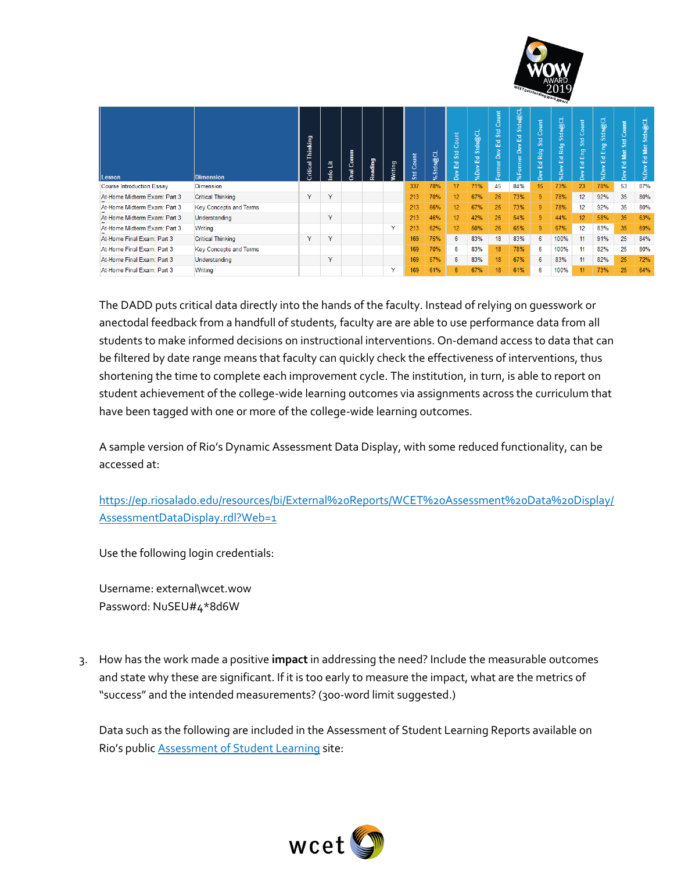

| Lesson                           | <b>Dimension</b>              | Thinking<br>Critical | ã<br>۴ò      | Comm<br><b>Gral</b> | Reading | Writing      | Count<br>Std | Stds@CL<br>چ | Count<br>Std<br>몺<br>Dev | Stds@CL<br>$\overline{\phantom{a}}$<br>ш<br>%Der | ount<br>Std<br>ᇰ<br>ய<br>٩,<br>ormer<br>ш. | Stds@CL<br>$\overline{\phantom{a}}$<br>ш<br>ă<br>$\circ$<br>%F | Count<br>Std<br><b>Rdg</b><br>旵<br>Dev | Stds@CL<br>Rdg<br>$\overline{\phantom{a}}$<br>ш<br>%Dev | Count<br>s <sub>d</sub><br>g<br>画<br>$\overline{\phantom{a}}$<br>ш<br>Dev | Stds@CL<br>Eng<br>몺<br>%Dev | ount<br>习<br>ûn.<br>Mat<br>$\overline{\phantom{a}}$<br>ш | Stds@CL<br>Mat<br>뭅<br>%Dev |
|----------------------------------|-------------------------------|----------------------|--------------|---------------------|---------|--------------|--------------|--------------|--------------------------|--------------------------------------------------|--------------------------------------------|----------------------------------------------------------------|----------------------------------------|---------------------------------------------------------|---------------------------------------------------------------------------|-----------------------------|----------------------------------------------------------|-----------------------------|
| <b>Course Introduction Essay</b> | Dimension                     |                      |              |                     |         |              | 337          | 78%          | 17                       | 71%                                              | 45                                         | 84%                                                            | 15                                     | 73%                                                     | 23                                                                        | 78%                         | 53                                                       | 87%                         |
| At-Home Midterm Exam: Part 3     | <b>Critical Thinking</b>      | Y                    | $\checkmark$ |                     |         |              | 213          | 70%          | 12 <sub>2</sub>          | 67%                                              | 26                                         | 73%                                                            | 9                                      | 78%                                                     | 12                                                                        | 92%                         | 35                                                       | 80%                         |
| At-Home Midterm Exam: Part 3     | <b>Key Concepts and Terms</b> |                      |              |                     |         |              | 213          | 66%          | 12                       | 67%                                              | 26                                         | 73%                                                            | 9                                      | 78%                                                     | 12                                                                        | 92%                         | 35                                                       | 80%                         |
| At-Home Midterm Exam: Part 3     | Understanding                 |                      | $\checkmark$ |                     |         |              | 213          | 46%          | 12 <sup>2</sup>          | 42%                                              | 26                                         | 54%                                                            | 9                                      | 44%                                                     | 12                                                                        | 58%                         | 35                                                       | 63%                         |
| At-Home Midterm Exam: Part 3     | Writing                       |                      |              |                     |         | $\checkmark$ | 213          | 62%          | 12 <sup>2</sup>          | 50%                                              | 26                                         | 65%                                                            | 9                                      | 67%                                                     | 12                                                                        | 83%                         | 35                                                       | 69%                         |
| At-Home Final Exam: Part 3       | <b>Critical Thinking</b>      | Y                    | Y            |                     |         |              | 169          | 75%          | 6                        | 83%                                              | 18                                         | 83%                                                            | 6                                      | 100%                                                    | 11                                                                        | 91%                         | 25                                                       | 84%                         |
| At-Home Final Exam: Part 3       | <b>Key Concepts and Terms</b> |                      |              |                     |         |              | 169          | 70%          | 6                        | 83%                                              | 18                                         | 78%                                                            | 6                                      | 100%                                                    | 11                                                                        | 82%                         | 25                                                       | 80%                         |
| At-Home Final Exam: Part 3       | Understanding                 |                      | Y            |                     |         |              | 169          | 57%          | 6                        | 83%                                              | 18                                         | 67%                                                            | 6                                      | 83%                                                     | 11                                                                        | 82%                         | 25                                                       | 72%                         |
| At-Home Final Exam: Part 3       | Writing                       |                      |              |                     |         | $\checkmark$ | 169          | 61%          | 6                        | 67%                                              | 18                                         | 61%                                                            | 6                                      | 100%                                                    | 11                                                                        | 73%                         | 25                                                       | 64%                         |

The DADD puts critical data directly into the hands of the faculty. Instead of relying on guesswork or anectodal feedback from a handfull of students, faculty are are able to use performance data from all students to make informed decisions on instructional interventions. On-demand access to data that can be filtered by date range means that faculty can quickly check the effectiveness of interventions, thus shortening the time to complete each improvement cycle. The institution, in turn, is able to report on student achievement of the college-wide learning outcomes via assignments across the curriculum that have been tagged with one or more of the college-wide learning outcomes.

A sample version of Rio's Dynamic Assessment Data Display, with some reduced functionality, can be accessed at:

[https://ep.riosalado.edu/resources/bi/External%20Reports/WCET%20Assessment%20Data%20Display/](https://ep.riosalado.edu/resources/bi/External%20Reports/WCET%20Assessment%20Data%20Display/AssessmentDataDisplay.rdl?Web=1) [AssessmentDataDisplay.rdl?Web=1](https://ep.riosalado.edu/resources/bi/External%20Reports/WCET%20Assessment%20Data%20Display/AssessmentDataDisplay.rdl?Web=1)

Use the following login credentials:

Username: external\wcet.wow Password: NuSEU#4\*8d6W

3. How has the work made a positive **impact** in addressing the need? Include the measurable outcomes and state why these are significant. If it is too early to measure the impact, what are the metrics of "success" and the intended measurements? (300-word limit suggested.)

Data such as the following are included in the Assessment of Student Learning Reports available on Rio's public [Assessment of Student Learning](http://www.riosalado.edu/about/teaching-learning/assessment/Pages/SLO.aspx) site:

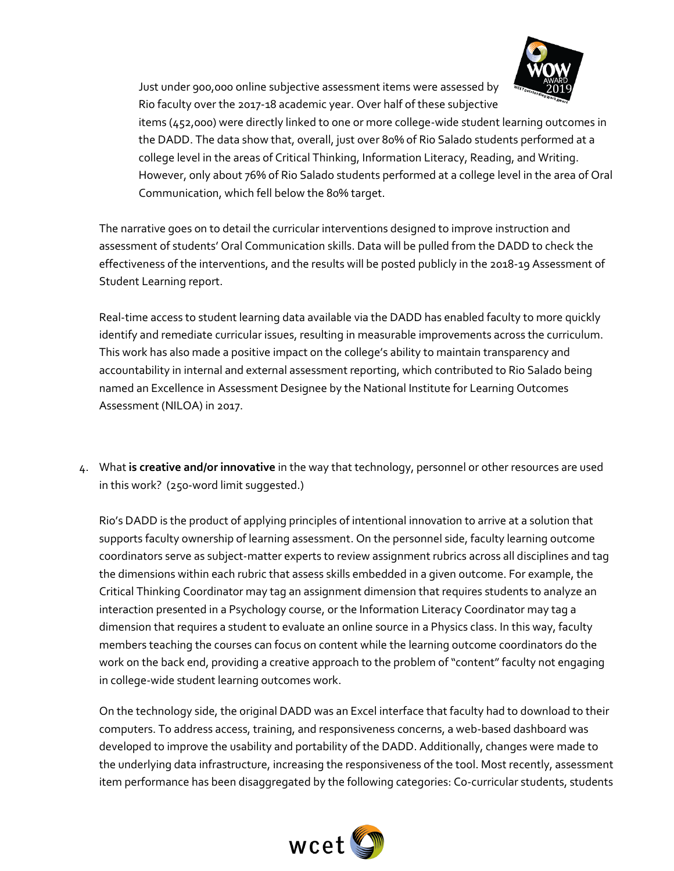

Just under 900,000 online subjective assessment items were assessed by Rio faculty over the 2017-18 academic year. Over half of these subjective

items (452,000) were directly linked to one or more college-wide student learning outcomes in the DADD. The data show that, overall, just over 80% of Rio Salado students performed at a college level in the areas of Critical Thinking, Information Literacy, Reading, and Writing. However, only about 76% of Rio Salado students performed at a college level in the area of Oral Communication, which fell below the 80% target.

The narrative goes on to detail the curricular interventions designed to improve instruction and assessment of students' Oral Communication skills. Data will be pulled from the DADD to check the effectiveness of the interventions, and the results will be posted publicly in the 2018-19 Assessment of Student Learning report.

Real-time access to student learning data available via the DADD has enabled faculty to more quickly identify and remediate curricular issues, resulting in measurable improvements across the curriculum. This work has also made a positive impact on the college's ability to maintain transparency and accountability in internal and external assessment reporting, which contributed to Rio Salado being named an Excellence in Assessment Designee by the National Institute for Learning Outcomes Assessment (NILOA) in 2017.

4. What **is creative and/or innovative** in the way that technology, personnel or other resources are used in this work? (250-word limit suggested.)

Rio's DADD is the product of applying principles of intentional innovation to arrive at a solution that supports faculty ownership of learning assessment. On the personnel side, faculty learning outcome coordinators serve as subject-matter experts to review assignment rubrics across all disciplines and tag the dimensions within each rubric that assess skills embedded in a given outcome. For example, the Critical Thinking Coordinator may tag an assignment dimension that requires students to analyze an interaction presented in a Psychology course, or the Information Literacy Coordinator may tag a dimension that requires a student to evaluate an online source in a Physics class. In this way, faculty members teaching the courses can focus on content while the learning outcome coordinators do the work on the back end, providing a creative approach to the problem of "content" faculty not engaging in college-wide student learning outcomes work.

On the technology side, the original DADD was an Excel interface that faculty had to download to their computers. To address access, training, and responsiveness concerns, a web-based dashboard was developed to improve the usability and portability of the DADD. Additionally, changes were made to the underlying data infrastructure, increasing the responsiveness of the tool. Most recently, assessment item performance has been disaggregated by the following categories: Co-curricular students, students

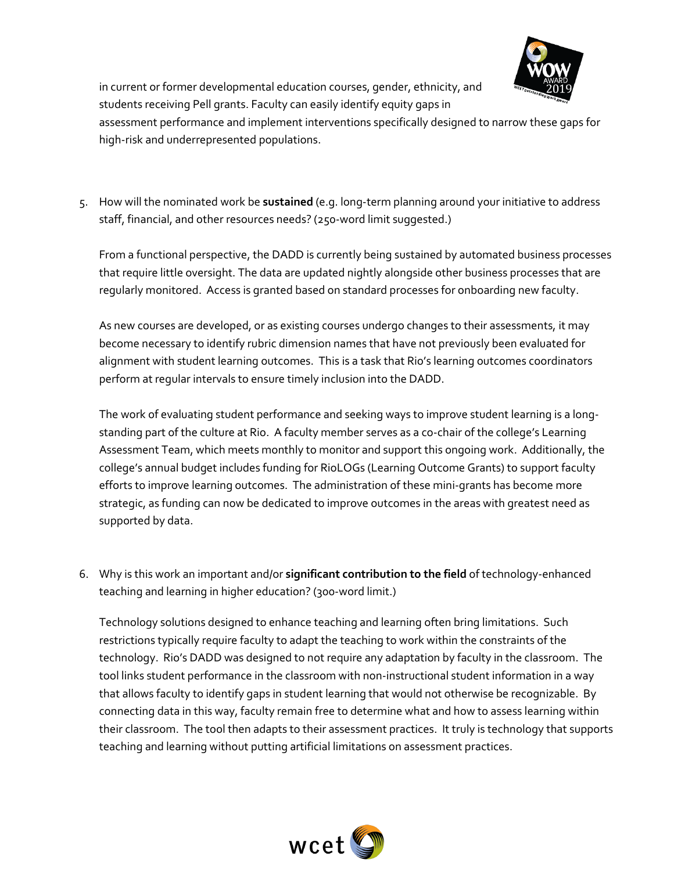

in current or former developmental education courses, gender, ethnicity, and students receiving Pell grants. Faculty can easily identify equity gaps in

assessment performance and implement interventions specifically designed to narrow these gaps for high-risk and underrepresented populations.

5. How will the nominated work be **sustained** (e.g. long-term planning around your initiative to address staff, financial, and other resources needs? (250-word limit suggested.)

From a functional perspective, the DADD is currently being sustained by automated business processes that require little oversight. The data are updated nightly alongside other business processes that are regularly monitored. Access is granted based on standard processes for onboarding new faculty.

As new courses are developed, or as existing courses undergo changes to their assessments, it may become necessary to identify rubric dimension names that have not previously been evaluated for alignment with student learning outcomes. This is a task that Rio's learning outcomes coordinators perform at regular intervals to ensure timely inclusion into the DADD.

The work of evaluating student performance and seeking ways to improve student learning is a longstanding part of the culture at Rio. A faculty member serves as a co-chair of the college's Learning Assessment Team, which meets monthly to monitor and support this ongoing work. Additionally, the college's annual budget includes funding for RioLOGs (Learning Outcome Grants) to support faculty efforts to improve learning outcomes. The administration of these mini-grants has become more strategic, as funding can now be dedicated to improve outcomes in the areas with greatest need as supported by data.

6. Why is this work an important and/or **significant contribution to the field** of technology-enhanced teaching and learning in higher education? (300-word limit.)

Technology solutions designed to enhance teaching and learning often bring limitations. Such restrictions typically require faculty to adapt the teaching to work within the constraints of the technology. Rio's DADD was designed to not require any adaptation by faculty in the classroom. The tool links student performance in the classroom with non-instructional student information in a way that allows faculty to identify gaps in student learning that would not otherwise be recognizable. By connecting data in this way, faculty remain free to determine what and how to assess learning within their classroom. The tool then adapts to their assessment practices. It truly is technology that supports teaching and learning without putting artificial limitations on assessment practices.

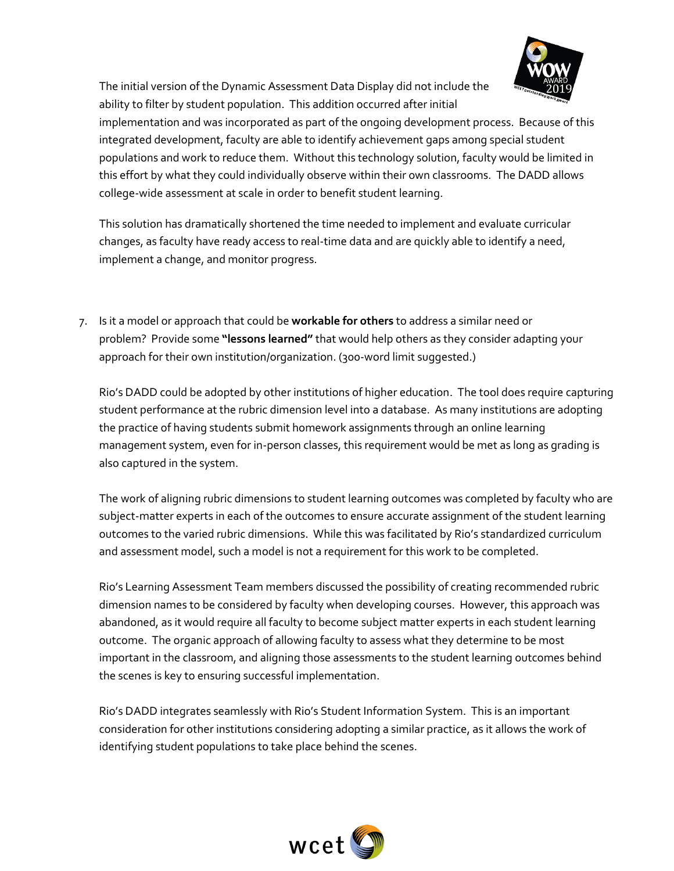

The initial version of the Dynamic Assessment Data Display did not include the ability to filter by student population. This addition occurred after initial

implementation and was incorporated as part of the ongoing development process. Because of this integrated development, faculty are able to identify achievement gaps among special student populations and work to reduce them. Without this technology solution, faculty would be limited in this effort by what they could individually observe within their own classrooms. The DADD allows college-wide assessment at scale in order to benefit student learning.

This solution has dramatically shortened the time needed to implement and evaluate curricular changes, as faculty have ready access to real-time data and are quickly able to identify a need, implement a change, and monitor progress.

7. Is it a model or approach that could be **workable for others** to address a similar need or problem? Provide some **"lessons learned"** that would help others as they consider adapting your approach for their own institution/organization. (300-word limit suggested.)

Rio's DADD could be adopted by other institutions of higher education. The tool does require capturing student performance at the rubric dimension level into a database. As many institutions are adopting the practice of having students submit homework assignments through an online learning management system, even for in-person classes, this requirement would be met as long as grading is also captured in the system.

The work of aligning rubric dimensions to student learning outcomes was completed by faculty who are subject-matter experts in each of the outcomes to ensure accurate assignment of the student learning outcomes to the varied rubric dimensions. While this was facilitated by Rio's standardized curriculum and assessment model, such a model is not a requirement for this work to be completed.

Rio's Learning Assessment Team members discussed the possibility of creating recommended rubric dimension names to be considered by faculty when developing courses. However, this approach was abandoned, as it would require all faculty to become subject matter experts in each student learning outcome. The organic approach of allowing faculty to assess what they determine to be most important in the classroom, and aligning those assessments to the student learning outcomes behind the scenes is key to ensuring successful implementation.

Rio's DADD integrates seamlessly with Rio's Student Information System. This is an important consideration for other institutions considering adopting a similar practice, as it allows the work of identifying student populations to take place behind the scenes.